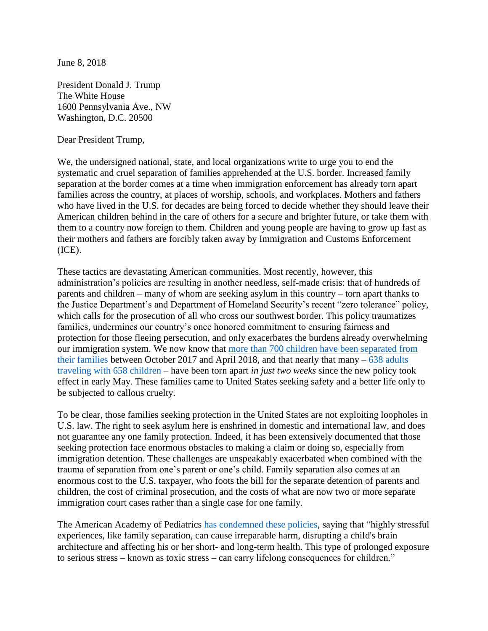June 8, 2018

President Donald J. Trump The White House 1600 Pennsylvania Ave., NW Washington, D.C. 20500

Dear President Trump,

We, the undersigned national, state, and local organizations write to urge you to end the systematic and cruel separation of families apprehended at the U.S. border. Increased family separation at the border comes at a time when immigration enforcement has already torn apart families across the country, at places of worship, schools, and workplaces. Mothers and fathers who have lived in the U.S. for decades are being forced to decide whether they should leave their American children behind in the care of others for a secure and brighter future, or take them with them to a country now foreign to them. Children and young people are having to grow up fast as their mothers and fathers are forcibly taken away by Immigration and Customs Enforcement (ICE).

These tactics are devastating American communities. Most recently, however, this administration's policies are resulting in another needless, self-made crisis: that of hundreds of parents and children – many of whom are seeking asylum in this country – torn apart thanks to the Justice Department's and Department of Homeland Security's recent "zero tolerance" policy, which calls for the prosecution of all who cross our southwest border. This policy traumatizes families, undermines our country's once honored commitment to ensuring fairness and protection for those fleeing persecution, and only exacerbates the burdens already overwhelming our immigration system. We now know that [more than 700 children have been separated from](https://www.nytimes.com/2018/04/20/us/immigrant-children-separation-ice.html)  [their families](https://www.nytimes.com/2018/04/20/us/immigrant-children-separation-ice.html) between October 2017 and April 2018, and that nearly that many – [638 adults](http://www.latimes.com/opinion/la-ol-enter-the-fray-the-tally-of-trump-s-heartlessness-1527274616-htmlstory.html#nt=card)  [traveling with 658 children](http://www.latimes.com/opinion/la-ol-enter-the-fray-the-tally-of-trump-s-heartlessness-1527274616-htmlstory.html#nt=card) – have been torn apart *in just two weeks* since the new policy took effect in early May. These families came to United States seeking safety and a better life only to be subjected to callous cruelty.

To be clear, those families seeking protection in the United States are not exploiting loopholes in U.S. law. The right to seek asylum here is enshrined in domestic and international law, and does not guarantee any one family protection. Indeed, it has been extensively documented that those seeking protection face enormous obstacles to making a claim or doing so, especially from immigration detention. These challenges are unspeakably exacerbated when combined with the trauma of separation from one's parent or one's child. Family separation also comes at an enormous cost to the U.S. taxpayer, who foots the bill for the separate detention of parents and children, the cost of criminal prosecution, and the costs of what are now two or more separate immigration court cases rather than a single case for one family.

The American Academy of Pediatrics [has condemned these policies,](https://www.aap.org/en-us/about-the-aap/aap-press-room/Pages/StatementOpposingSeparationofChildrenandParents.aspx) saying that "highly stressful experiences, like family separation, can cause irreparable harm, disrupting a child's brain architecture and affecting his or her short- and long-term health. This type of prolonged exposure to serious stress – known as toxic stress – can carry lifelong consequences for children."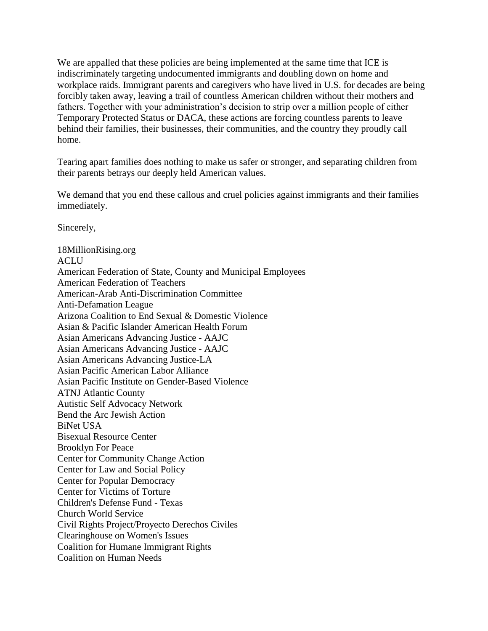We are appalled that these policies are being implemented at the same time that ICE is indiscriminately targeting undocumented immigrants and doubling down on home and workplace raids. Immigrant parents and caregivers who have lived in U.S. for decades are being forcibly taken away, leaving a trail of countless American children without their mothers and fathers. Together with your administration's decision to strip over a million people of either Temporary Protected Status or DACA, these actions are forcing countless parents to leave behind their families, their businesses, their communities, and the country they proudly call home.

Tearing apart families does nothing to make us safer or stronger, and separating children from their parents betrays our deeply held American values.

We demand that you end these callous and cruel policies against immigrants and their families immediately.

Sincerely,

18MillionRising.org ACLU American Federation of State, County and Municipal Employees American Federation of Teachers American-Arab Anti-Discrimination Committee Anti-Defamation League Arizona Coalition to End Sexual & Domestic Violence Asian & Pacific Islander American Health Forum Asian Americans Advancing Justice - AAJC Asian Americans Advancing Justice - AAJC Asian Americans Advancing Justice-LA Asian Pacific American Labor Alliance Asian Pacific Institute on Gender-Based Violence ATNJ Atlantic County Autistic Self Advocacy Network Bend the Arc Jewish Action BiNet USA Bisexual Resource Center Brooklyn For Peace Center for Community Change Action Center for Law and Social Policy Center for Popular Democracy Center for Victims of Torture Children's Defense Fund - Texas Church World Service Civil Rights Project/Proyecto Derechos Civiles Clearinghouse on Women's Issues Coalition for Humane Immigrant Rights Coalition on Human Needs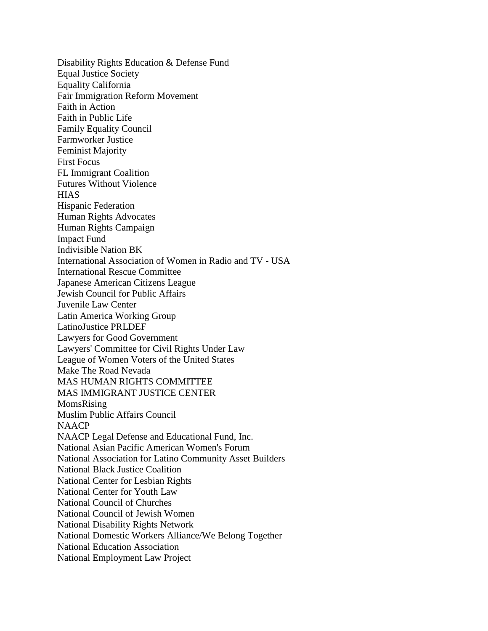Disability Rights Education & Defense Fund Equal Justice Society Equality California Fair Immigration Reform Movement Faith in Action Faith in Public Life Family Equality Council Farmworker Justice Feminist Majority First Focus FL Immigrant Coalition Futures Without Violence **HIAS** Hispanic Federation Human Rights Advocates Human Rights Campaign Impact Fund Indivisible Nation BK International Association of Women in Radio and TV - USA International Rescue Committee Japanese American Citizens League Jewish Council for Public Affairs Juvenile Law Center Latin America Working Group LatinoJustice PRLDEF Lawyers for Good Government Lawyers' Committee for Civil Rights Under Law League of Women Voters of the United States Make The Road Nevada MAS HUMAN RIGHTS COMMITTEE MAS IMMIGRANT JUSTICE CENTER MomsRising Muslim Public Affairs Council **NAACP** NAACP Legal Defense and Educational Fund, Inc. National Asian Pacific American Women's Forum National Association for Latino Community Asset Builders National Black Justice Coalition National Center for Lesbian Rights National Center for Youth Law National Council of Churches National Council of Jewish Women National Disability Rights Network National Domestic Workers Alliance/We Belong Together National Education Association National Employment Law Project